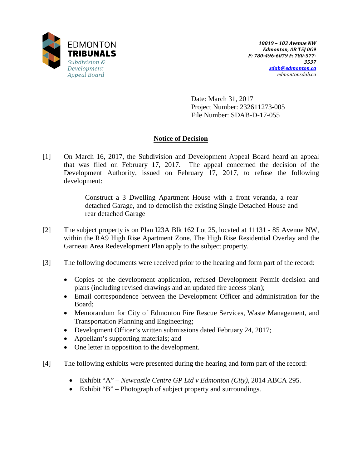

Date: March 31, 2017 Project Number: 232611273-005 File Number: SDAB-D-17-055

# **Notice of Decision**

[1] On March 16, 2017, the Subdivision and Development Appeal Board heard an appeal that was filed on February 17, 2017. The appeal concerned the decision of the Development Authority, issued on February 17, 2017, to refuse the following development:

> Construct a 3 Dwelling Apartment House with a front veranda, a rear detached Garage, and to demolish the existing Single Detached House and rear detached Garage

- [2] The subject property is on Plan I23A Blk 162 Lot 25, located at 11131 85 Avenue NW, within the RA9 High Rise Apartment Zone. The High Rise Residential Overlay and the Garneau Area Redevelopment Plan apply to the subject property.
- [3] The following documents were received prior to the hearing and form part of the record:
	- Copies of the development application, refused Development Permit decision and plans (including revised drawings and an updated fire access plan);
	- Email correspondence between the Development Officer and administration for the Board;
	- Memorandum for City of Edmonton Fire Rescue Services, Waste Management, and Transportation Planning and Engineering;
	- Development Officer's written submissions dated February 24, 2017;
	- Appellant's supporting materials; and
	- One letter in opposition to the development.
- [4] The following exhibits were presented during the hearing and form part of the record:
	- Exhibit "A" *Newcastle Centre GP Ltd v Edmonton (City)*, 2014 ABCA 295.
	- Exhibit "B" Photograph of subject property and surroundings.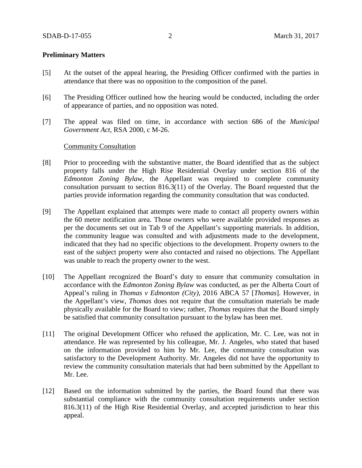### **Preliminary Matters**

- [5] At the outset of the appeal hearing, the Presiding Officer confirmed with the parties in attendance that there was no opposition to the composition of the panel.
- [6] The Presiding Officer outlined how the hearing would be conducted, including the order of appearance of parties, and no opposition was noted.
- [7] The appeal was filed on time, in accordance with section 686 of the *Municipal Government Act,* RSA 2000, c M-26.

#### Community Consultation

- [8] Prior to proceeding with the substantive matter, the Board identified that as the subject property falls under the High Rise Residential Overlay under section 816 of the *Edmonton Zoning Bylaw,* the Appellant was required to complete community consultation pursuant to section 816.3(11) of the Overlay. The Board requested that the parties provide information regarding the community consultation that was conducted.
- [9] The Appellant explained that attempts were made to contact all property owners within the 60 metre notification area. Those owners who were available provided responses as per the documents set out in Tab 9 of the Appellant's supporting materials. In addition, the community league was consulted and with adjustments made to the development, indicated that they had no specific objections to the development. Property owners to the east of the subject property were also contacted and raised no objections. The Appellant was unable to reach the property owner to the west.
- [10] The Appellant recognized the Board's duty to ensure that community consultation in accordance with the *Edmonton Zoning Bylaw* was conducted, as per the Alberta Court of Appeal's ruling in *Thomas v Edmonton (City)*, 2016 ABCA 57 [*Thomas*]. However, in the Appellant's view, *Thomas* does not require that the consultation materials be made physically available for the Board to view; rather, *Thomas* requires that the Board simply be satisfied that community consultation pursuant to the bylaw has been met.
- [11] The original Development Officer who refused the application, Mr. C. Lee, was not in attendance. He was represented by his colleague, Mr. J. Angeles, who stated that based on the information provided to him by Mr. Lee, the community consultation was satisfactory to the Development Authority. Mr. Angeles did not have the opportunity to review the community consultation materials that had been submitted by the Appellant to Mr. Lee.
- [12] Based on the information submitted by the parties, the Board found that there was substantial compliance with the community consultation requirements under section 816.3(11) of the High Rise Residential Overlay, and accepted jurisdiction to hear this appeal.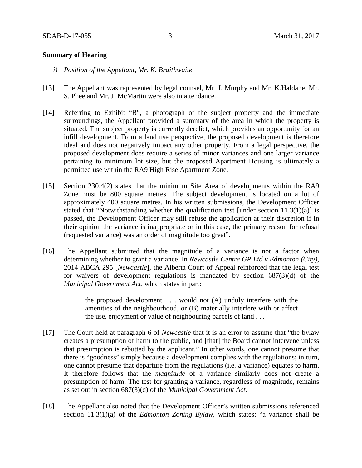#### **Summary of Hearing**

- *i) Position of the Appellant, Mr. K. Braithwaite*
- [13] The Appellant was represented by legal counsel, Mr. J. Murphy and Mr. K.Haldane. Mr. S. Phee and Mr. J. McMartin were also in attendance.
- [14] Referring to Exhibit "B", a photograph of the subject property and the immediate surroundings, the Appellant provided a summary of the area in which the property is situated. The subject property is currently derelict, which provides an opportunity for an infill development. From a land use perspective, the proposed development is therefore ideal and does not negatively impact any other property. From a legal perspective, the proposed development does require a series of minor variances and one larger variance pertaining to minimum lot size, but the proposed Apartment Housing is ultimately a permitted use within the RA9 High Rise Apartment Zone.
- [15] Section 230.4(2) states that the minimum Site Area of developments within the RA9 Zone must be 800 square metres. The subject development is located on a lot of approximately 400 square metres. In his written submissions, the Development Officer stated that "Notwithstanding whether the qualification test [under section  $11.3(1)(a)$ ] is passed, the Development Officer may still refuse the application at their discretion if in their opinion the variance is inappropriate or in this case, the primary reason for refusal (requested variance) was an order of magnitude too great".
- [16] The Appellant submitted that the magnitude of a variance is not a factor when determining whether to grant a variance. In *Newcastle Centre GP Ltd v Edmonton (City),* 2014 ABCA 295 [*Newcastle*], the Alberta Court of Appeal reinforced that the legal test for waivers of development regulations is mandated by section 687(3)(d) of the *Municipal Government Act,* which states in part:

the proposed development . . . would not (A) unduly interfere with the amenities of the neighbourhood, or (B) materially interfere with or affect the use, enjoyment or value of neighbouring parcels of land . . .

- [17] The Court held at paragraph 6 of *Newcastle* that it is an error to assume that "the bylaw creates a presumption of harm to the public, and [that] the Board cannot intervene unless that presumption is rebutted by the applicant." In other words, one cannot presume that there is "goodness" simply because a development complies with the regulations; in turn, one cannot presume that departure from the regulations (i.e. a variance) equates to harm. It therefore follows that the *magnitude* of a variance similarly does not create a presumption of harm. The test for granting a variance, regardless of magnitude, remains as set out in section 687(3)(d) of the *Municipal Government Act.*
- [18] The Appellant also noted that the Development Officer's written submissions referenced section 11.3(1)(a) of the *Edmonton Zoning Bylaw,* which states: "a variance shall be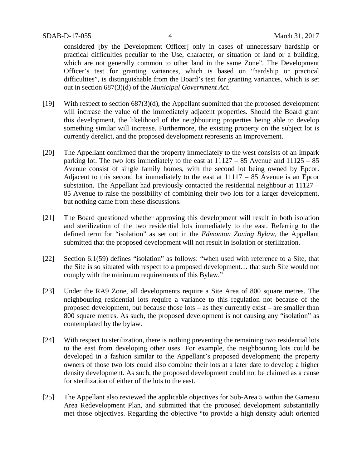considered [by the Development Officer] only in cases of unnecessary hardship or practical difficulties peculiar to the Use, character, or situation of land or a building, which are not generally common to other land in the same Zone". The Development Officer's test for granting variances, which is based on "hardship or practical difficulties", is distinguishable from the Board's test for granting variances, which is set out in section 687(3)(d) of the *Municipal Government Act.* 

- [19] With respect to section 687(3)(d), the Appellant submitted that the proposed development will increase the value of the immediately adjacent properties. Should the Board grant this development, the likelihood of the neighbouring properties being able to develop something similar will increase. Furthermore, the existing property on the subject lot is currently derelict, and the proposed development represents an improvement.
- [20] The Appellant confirmed that the property immediately to the west consists of an Impark parking lot. The two lots immediately to the east at 11127 – 85 Avenue and 11125 – 85 Avenue consist of single family homes, with the second lot being owned by Epcor. Adjacent to this second lot immediately to the east at 11117 – 85 Avenue is an Epcor substation. The Appellant had previously contacted the residential neighbour at 11127 – 85 Avenue to raise the possibility of combining their two lots for a larger development, but nothing came from these discussions.
- [21] The Board questioned whether approving this development will result in both isolation and sterilization of the two residential lots immediately to the east. Referring to the defined term for "isolation" as set out in the *Edmonton Zoning Bylaw*, the Appellant submitted that the proposed development will not result in isolation or sterilization.
- [22] Section 6.1(59) defines "isolation" as follows: "when used with reference to a Site, that the Site is so situated with respect to a proposed development… that such Site would not comply with the minimum requirements of this Bylaw."
- [23] Under the RA9 Zone, all developments require a Site Area of 800 square metres. The neighbouring residential lots require a variance to this regulation not because of the proposed development, but because those lots – as they currently exist – are smaller than 800 square metres. As such, the proposed development is not causing any "isolation" as contemplated by the bylaw.
- [24] With respect to sterilization, there is nothing preventing the remaining two residential lots to the east from developing other uses. For example, the neighbouring lots could be developed in a fashion similar to the Appellant's proposed development; the property owners of those two lots could also combine their lots at a later date to develop a higher density development. As such, the proposed development could not be claimed as a cause for sterilization of either of the lots to the east.
- [25] The Appellant also reviewed the applicable objectives for Sub-Area 5 within the Garneau Area Redevelopment Plan, and submitted that the proposed development substantially met those objectives. Regarding the objective "to provide a high density adult oriented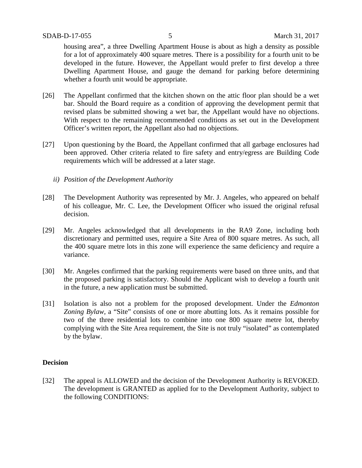housing area", a three Dwelling Apartment House is about as high a density as possible for a lot of approximately 400 square metres. There is a possibility for a fourth unit to be developed in the future. However, the Appellant would prefer to first develop a three Dwelling Apartment House, and gauge the demand for parking before determining whether a fourth unit would be appropriate.

- [26] The Appellant confirmed that the kitchen shown on the attic floor plan should be a wet bar. Should the Board require as a condition of approving the development permit that revised plans be submitted showing a wet bar, the Appellant would have no objections. With respect to the remaining recommended conditions as set out in the Development Officer's written report, the Appellant also had no objections.
- [27] Upon questioning by the Board, the Appellant confirmed that all garbage enclosures had been approved. Other criteria related to fire safety and entry/egress are Building Code requirements which will be addressed at a later stage.
	- *ii) Position of the Development Authority*
- [28] The Development Authority was represented by Mr. J. Angeles, who appeared on behalf of his colleague, Mr. C. Lee, the Development Officer who issued the original refusal decision.
- [29] Mr. Angeles acknowledged that all developments in the RA9 Zone, including both discretionary and permitted uses, require a Site Area of 800 square metres. As such, all the 400 square metre lots in this zone will experience the same deficiency and require a variance.
- [30] Mr. Angeles confirmed that the parking requirements were based on three units, and that the proposed parking is satisfactory. Should the Applicant wish to develop a fourth unit in the future, a new application must be submitted.
- [31] Isolation is also not a problem for the proposed development. Under the *Edmonton Zoning Bylaw,* a "Site" consists of one or more abutting lots. As it remains possible for two of the three residential lots to combine into one 800 square metre lot, thereby complying with the Site Area requirement, the Site is not truly "isolated" as contemplated by the bylaw.

#### **Decision**

[32] The appeal is ALLOWED and the decision of the Development Authority is REVOKED. The development is GRANTED as applied for to the Development Authority, subject to the following CONDITIONS: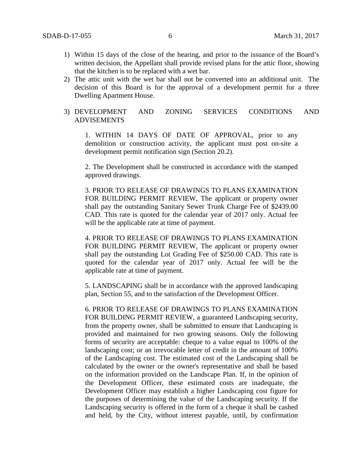- 1) Within 15 days of the close of the hearing, and prior to the issuance of the Board's written decision, the Appellant shall provide revised plans for the attic floor, showing that the kitchen is to be replaced with a wet bar.
- 2) The attic unit with the wet bar shall not be converted into an additional unit. The decision of this Board is for the approval of a development permit for a three Dwelling Apartment House.
- 3) DEVELOPMENT AND ZONING SERVICES CONDITIONS AND ADVISEMENTS

1. WITHIN 14 DAYS OF DATE OF APPROVAL, prior to any demolition or construction activity, the applicant must post on-site a development permit notification sign (Section 20.2).

2. The Development shall be constructed in accordance with the stamped approved drawings.

3. PRIOR TO RELEASE OF DRAWINGS TO PLANS EXAMINATION FOR BUILDING PERMIT REVIEW, The applicant or property owner shall pay the outstanding Sanitary Sewer Trunk Charge Fee of \$2439.00 CAD. This rate is quoted for the calendar year of 2017 only. Actual fee will be the applicable rate at time of payment.

4. PRIOR TO RELEASE OF DRAWINGS TO PLANS EXAMINATION FOR BUILDING PERMIT REVIEW, The applicant or property owner shall pay the outstanding Lot Grading Fee of \$250.00 CAD. This rate is quoted for the calendar year of 2017 only. Actual fee will be the applicable rate at time of payment.

5. LANDSCAPING shall be in accordance with the approved landscaping plan, Section 55, and to the satisfaction of the Development Officer.

6. PRIOR TO RELEASE OF DRAWINGS TO PLANS EXAMINATION FOR BUILDING PERMIT REVIEW, a guaranteed Landscaping security, from the property owner, shall be submitted to ensure that Landscaping is provided and maintained for two growing seasons. Only the following forms of security are acceptable: cheque to a value equal to 100% of the landscaping cost; or an irrevocable letter of credit in the amount of 100% of the Landscaping cost. The estimated cost of the Landscaping shall be calculated by the owner or the owner's representative and shall be based on the information provided on the Landscape Plan. If, in the opinion of the Development Officer, these estimated costs are inadequate, the Development Officer may establish a higher Landscaping cost figure for the purposes of determining the value of the Landscaping security. If the Landscaping security is offered in the form of a cheque it shall be cashed and held, by the City, without interest payable, until, by confirmation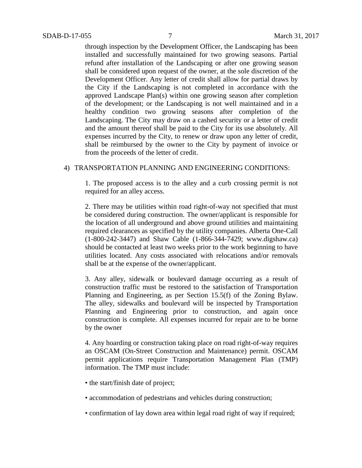through inspection by the Development Officer, the Landscaping has been installed and successfully maintained for two growing seasons. Partial refund after installation of the Landscaping or after one growing season shall be considered upon request of the owner, at the sole discretion of the Development Officer. Any letter of credit shall allow for partial draws by the City if the Landscaping is not completed in accordance with the approved Landscape Plan(s) within one growing season after completion of the development; or the Landscaping is not well maintained and in a healthy condition two growing seasons after completion of the Landscaping. The City may draw on a cashed security or a letter of credit and the amount thereof shall be paid to the City for its use absolutely. All expenses incurred by the City, to renew or draw upon any letter of credit, shall be reimbursed by the owner to the City by payment of invoice or from the proceeds of the letter of credit.

#### 4) TRANSPORTATION PLANNING AND ENGINEERING CONDITIONS:

1. The proposed access is to the alley and a curb crossing permit is not required for an alley access.

2. There may be utilities within road right-of-way not specified that must be considered during construction. The owner/applicant is responsible for the location of all underground and above ground utilities and maintaining required clearances as specified by the utility companies. Alberta One-Call (1-800-242-3447) and Shaw Cable (1-866-344-7429; www.digshaw.ca) should be contacted at least two weeks prior to the work beginning to have utilities located. Any costs associated with relocations and/or removals shall be at the expense of the owner/applicant.

3. Any alley, sidewalk or boulevard damage occurring as a result of construction traffic must be restored to the satisfaction of Transportation Planning and Engineering, as per Section 15.5(f) of the Zoning Bylaw. The alley, sidewalks and boulevard will be inspected by Transportation Planning and Engineering prior to construction, and again once construction is complete. All expenses incurred for repair are to be borne by the owner

4. Any hoarding or construction taking place on road right-of-way requires an OSCAM (On-Street Construction and Maintenance) permit. OSCAM permit applications require Transportation Management Plan (TMP) information. The TMP must include:

- the start/finish date of project;
- accommodation of pedestrians and vehicles during construction;
- confirmation of lay down area within legal road right of way if required;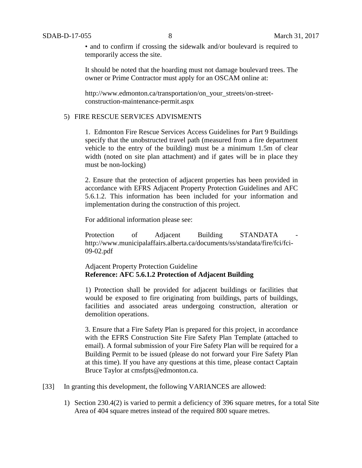• and to confirm if crossing the sidewalk and/or boulevard is required to temporarily access the site.

It should be noted that the hoarding must not damage boulevard trees. The owner or Prime Contractor must apply for an OSCAM online at:

http://www.edmonton.ca/transportation/on\_your\_streets/on-streetconstruction-maintenance-permit.aspx

## 5) FIRE RESCUE SERVICES ADVISMENTS

1. Edmonton Fire Rescue Services Access Guidelines for Part 9 Buildings specify that the unobstructed travel path (measured from a fire department vehicle to the entry of the building) must be a minimum 1.5m of clear width (noted on site plan attachment) and if gates will be in place they must be non-locking)

2. Ensure that the protection of adjacent properties has been provided in accordance with EFRS Adjacent Property Protection Guidelines and AFC 5.6.1.2. This information has been included for your information and implementation during the construction of this project.

For additional information please see:

Protection of Adjacent Building STANDATA http://www.municipalaffairs.alberta.ca/documents/ss/standata/fire/fci/fci-09-02.pdf

## Adjacent Property Protection Guideline **Reference: AFC 5.6.1.2 Protection of Adjacent Building**

1) Protection shall be provided for adjacent buildings or facilities that would be exposed to fire originating from buildings, parts of buildings, facilities and associated areas undergoing construction, alteration or demolition operations.

3. Ensure that a Fire Safety Plan is prepared for this project, in accordance with the EFRS Construction Site Fire Safety Plan Template (attached to email). A formal submission of your Fire Safety Plan will be required for a Building Permit to be issued (please do not forward your Fire Safety Plan at this time). If you have any questions at this time, please contact Captain Bruce Taylor at cmsfpts@edmonton.ca.

- [33] In granting this development, the following VARIANCES are allowed:
	- 1) Section 230.4(2) is varied to permit a deficiency of 396 square metres, for a total Site Area of 404 square metres instead of the required 800 square metres.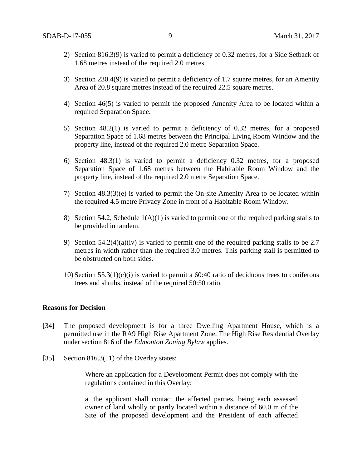- 2) Section 816.3(9) is varied to permit a deficiency of 0.32 metres, for a Side Setback of 1.68 metres instead of the required 2.0 metres.
- 3) Section 230.4(9) is varied to permit a deficiency of 1.7 square metres, for an Amenity Area of 20.8 square metres instead of the required 22.5 square metres.
- 4) Section 46(5) is varied to permit the proposed Amenity Area to be located within a required Separation Space.
- 5) Section 48.2(1) is varied to permit a deficiency of 0.32 metres, for a proposed Separation Space of 1.68 metres between the Principal Living Room Window and the property line, instead of the required 2.0 metre Separation Space.
- 6) Section 48.3(1) is varied to permit a deficiency 0.32 metres, for a proposed Separation Space of 1.68 metres between the Habitable Room Window and the property line, instead of the required 2.0 metre Separation Space.
- 7) Section 48.3(3)(e) is varied to permit the On-site Amenity Area to be located within the required 4.5 metre Privacy Zone in front of a Habitable Room Window.
- 8) Section 54.2, Schedule  $1(A)(1)$  is varied to permit one of the required parking stalls to be provided in tandem.
- 9) Section 54.2(4)(a)(iv) is varied to permit one of the required parking stalls to be 2.7 metres in width rather than the required 3.0 metres. This parking stall is permitted to be obstructed on both sides.
- 10) Section 55.3(1)(c)(i) is varied to permit a 60:40 ratio of deciduous trees to coniferous trees and shrubs, instead of the required 50:50 ratio.

#### **Reasons for Decision**

- [34] The proposed development is for a three Dwelling Apartment House, which is a permitted use in the RA9 High Rise Apartment Zone. The High Rise Residential Overlay under section 816 of the *Edmonton Zoning Bylaw* applies.
- [35] Section 816.3(11) of the Overlay states:

Where an application for a Development Permit does not comply with the regulations contained in this Overlay:

a. the applicant shall contact the affected parties, being each assessed owner of land wholly or partly located within a distance of 60.0 m of the Site of the proposed development and the President of each affected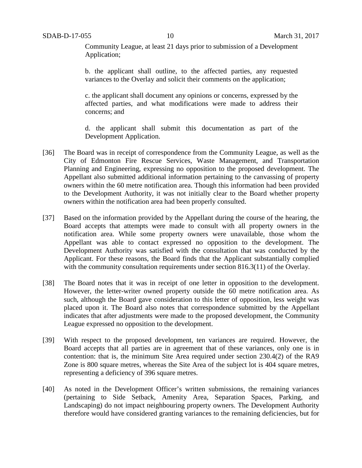Community League, at least 21 days prior to submission of a Development Application;

b. the applicant shall outline, to the affected parties, any requested variances to the Overlay and solicit their comments on the application;

c. the applicant shall document any opinions or concerns, expressed by the affected parties, and what modifications were made to address their concerns; and

d. the applicant shall submit this documentation as part of the Development Application.

- [36] The Board was in receipt of correspondence from the Community League, as well as the City of Edmonton Fire Rescue Services, Waste Management, and Transportation Planning and Engineering, expressing no opposition to the proposed development. The Appellant also submitted additional information pertaining to the canvassing of property owners within the 60 metre notification area. Though this information had been provided to the Development Authority, it was not initially clear to the Board whether property owners within the notification area had been properly consulted.
- [37] Based on the information provided by the Appellant during the course of the hearing, the Board accepts that attempts were made to consult with all property owners in the notification area. While some property owners were unavailable, those whom the Appellant was able to contact expressed no opposition to the development. The Development Authority was satisfied with the consultation that was conducted by the Applicant. For these reasons, the Board finds that the Applicant substantially complied with the community consultation requirements under section 816.3(11) of the Overlay.
- [38] The Board notes that it was in receipt of one letter in opposition to the development. However, the letter-writer owned property outside the 60 metre notification area. As such, although the Board gave consideration to this letter of opposition, less weight was placed upon it. The Board also notes that correspondence submitted by the Appellant indicates that after adjustments were made to the proposed development, the Community League expressed no opposition to the development.
- [39] With respect to the proposed development, ten variances are required. However, the Board accepts that all parties are in agreement that of these variances, only one is in contention: that is, the minimum Site Area required under section 230.4(2) of the RA9 Zone is 800 square metres, whereas the Site Area of the subject lot is 404 square metres, representing a deficiency of 396 square metres.
- [40] As noted in the Development Officer's written submissions, the remaining variances (pertaining to Side Setback, Amenity Area, Separation Spaces, Parking, and Landscaping) do not impact neighbouring property owners. The Development Authority therefore would have considered granting variances to the remaining deficiencies, but for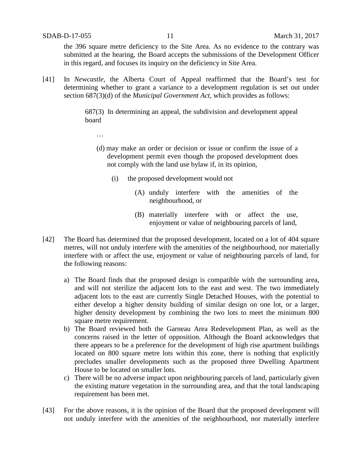…

the 396 square metre deficiency to the Site Area. As no evidence to the contrary was submitted at the hearing, the Board accepts the submissions of the Development Officer in this regard, and focuses its inquiry on the deficiency in Site Area.

[41] In *Newcastle*, the Alberta Court of Appeal reaffirmed that the Board's test for determining whether to grant a variance to a development regulation is set out under section 687(3)(d) of the *Municipal Government Act*, which provides as follows:

> 687(3)In determining an appeal, the subdivision and development appeal board

- (d) may make an order or decision or issue or confirm the issue of a development permit even though the proposed development does not comply with the land use bylaw if, in its opinion,
	- (i) the proposed development would not
		- (A) unduly interfere with the amenities of the neighbourhood, or
		- (B) materially interfere with or affect the use, enjoyment or value of neighbouring parcels of land,
- [42] The Board has determined that the proposed development, located on a lot of 404 square metres, will not unduly interfere with the amenities of the neighbourhood, nor materially interfere with or affect the use, enjoyment or value of neighbouring parcels of land, for the following reasons:
	- a) The Board finds that the proposed design is compatible with the surrounding area, and will not sterilize the adjacent lots to the east and west. The two immediately adjacent lots to the east are currently Single Detached Houses, with the potential to either develop a higher density building of similar design on one lot, or a larger, higher density development by combining the two lots to meet the minimum 800 square metre requirement.
	- b) The Board reviewed both the Garneau Area Redevelopment Plan, as well as the concerns raised in the letter of opposition. Although the Board acknowledges that there appears to be a preference for the development of high rise apartment buildings located on 800 square metre lots within this zone, there is nothing that explicitly precludes smaller developments such as the proposed three Dwelling Apartment House to be located on smaller lots.
	- c) There will be no adverse impact upon neighbouring parcels of land, particularly given the existing mature vegetation in the surrounding area, and that the total landscaping requirement has been met.
- [43] For the above reasons, it is the opinion of the Board that the proposed development will not unduly interfere with the amenities of the neighbourhood, nor materially interfere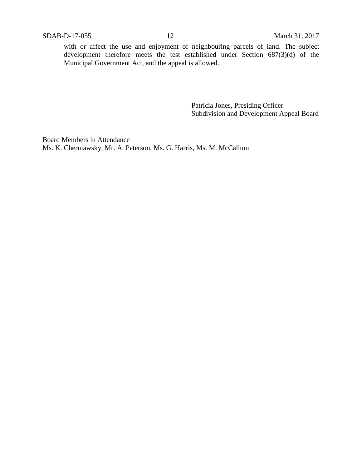with or affect the use and enjoyment of neighbouring parcels of land. The subject development therefore meets the test established under Section 687(3)(d) of the Municipal Government Act, and the appeal is allowed.

> Patricia Jones, Presiding Officer Subdivision and Development Appeal Board

Board Members in Attendance Ms. K. Cherniawsky, Mr. A. Peterson, Ms. G. Harris, Ms. M. McCallum